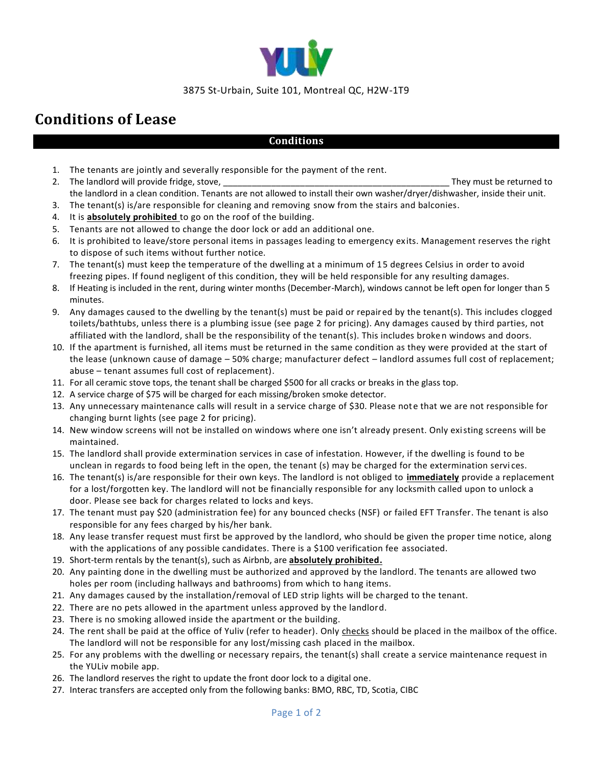

#### 3875 St-Urbain, Suite 101, Montreal QC, H2W-1T9

# **Conditions of Lease**

## **Conditions**

- 1. The tenants are jointly and severally responsible for the payment of the rent.
- 2. The landlord will provide fridge, stove, \_\_\_\_\_\_\_\_\_\_\_\_\_\_\_\_\_\_\_\_\_\_\_\_\_\_\_\_\_\_\_\_\_\_\_\_\_\_\_\_\_\_\_\_\_\_\_ They must be returned to the landlord in a clean condition. Tenants are not allowed to install their own washer/dryer/dishwasher, inside their unit.
- 3. The tenant(s) is/are responsible for cleaning and removing snow from the stairs and balconies.
- 4. It is **absolutely prohibited** to go on the roof of the building.
- 5. Tenants are not allowed to change the door lock or add an additional one.
- 6. It is prohibited to leave/store personal items in passages leading to emergency ex its. Management reserves the right to dispose of such items without further notice.
- 7. The tenant(s) must keep the temperature of the dwelling at a minimum of 15 degrees Celsius in order to avoid freezing pipes. If found negligent of this condition, they will be held responsible for any resulting damages.
- 8. If Heating is included in the rent, during winter months (December-March), windows cannot be left open for longer than 5 minutes.
- 9. Any damages caused to the dwelling by the tenant(s) must be paid or repaired by the tenant(s). This includes clogged toilets/bathtubs, unless there is a plumbing issue (see page 2 for pricing). Any damages caused by third parties, not affiliated with the landlord, shall be the responsibility of the tenant(s). This includes broken windows and doors.
- 10. If the apartment is furnished, all items must be returned in the same condition as they were provided at the start of the lease (unknown cause of damage – 50% charge; manufacturer defect – landlord assumes full cost of replacement; abuse – tenant assumes full cost of replacement).
- 11. For all ceramic stove tops, the tenant shall be charged \$500 for all cracks or breaks in the glass top.
- 12. A service charge of \$75 will be charged for each missing/broken smoke detector.
- 13. Any unnecessary maintenance calls will result in a service charge of \$30. Please note that we are not responsible for changing burnt lights (see page 2 for pricing).
- 14. New window screens will not be installed on windows where one isn't already present. Only existing screens will be maintained.
- 15. The landlord shall provide extermination services in case of infestation. However, if the dwelling is found to be unclean in regards to food being left in the open, the tenant (s) may be charged for the extermination servi ces.
- 16. The tenant(s) is/are responsible for their own keys. The landlord is not obliged to **immediately** provide a replacement for a lost/forgotten key. The landlord will not be financially responsible for any locksmith called upon to unlock a door. Please see back for charges related to locks and keys.
- 17. The tenant must pay \$20 (administration fee) for any bounced checks (NSF) or failed EFT Transfer. The tenant is also responsible for any fees charged by his/her bank.
- 18. Any lease transfer request must first be approved by the landlord, who should be given the proper time notice, along with the applications of any possible candidates. There is a \$100 verification fee associated.
- 19. Short-term rentals by the tenant(s), such as Airbnb, are **absolutely prohibited.**
- 20. Any painting done in the dwelling must be authorized and approved by the landlord. The tenants are allowed two holes per room (including hallways and bathrooms) from which to hang items.
- 21. Any damages caused by the installation/removal of LED strip lights will be charged to the tenant.
- 22. There are no pets allowed in the apartment unless approved by the landlord.
- 23. There is no smoking allowed inside the apartment or the building.
- 24. The rent shall be paid at the office of Yuliv (refer to header). Only checks should be placed in the mailbox of the office. The landlord will not be responsible for any lost/missing cash placed in the mailbox.
- 25. For any problems with the dwelling or necessary repairs, the tenant(s) shall create a service maintenance request in the YULiv mobile app.
- 26. The landlord reserves the right to update the front door lock to a digital one.
- 27. Interac transfers are accepted only from the following banks: BMO, RBC, TD, Scotia, CIBC